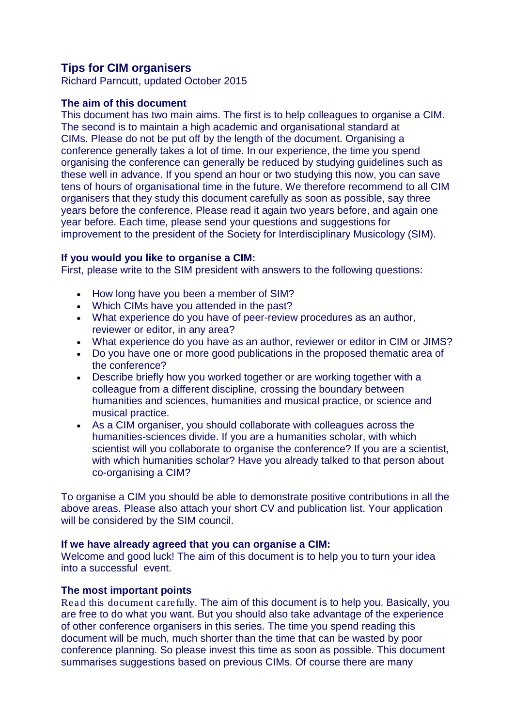# **Tips for CIM organisers**

Richard Parncutt, updated October 2015

## **The aim of this document**

This document has two main aims. The first is to help colleagues to organise a CIM. The second is to maintain a high academic and organisational standard at CIMs. Please do not be put off by the length of the document. Organising a conference generally takes a lot of time. In our experience, the time you spend organising the conference can generally be reduced by studying guidelines such as these well in advance. If you spend an hour or two studying this now, you can save tens of hours of organisational time in the future. We therefore recommend to all CIM organisers that they study this document carefully as soon as possible, say three years before the conference. Please read it again two years before, and again one year before. Each time, please send your questions and suggestions for improvement to the president of the Society for Interdisciplinary Musicology (SIM).

## **If you would you like to organise a CIM:**

First, please write to the SIM president with answers to the following questions:

- How long have you been a member of SIM?
- Which CIMs have you attended in the past?
- What experience do you have of peer-review procedures as an author, reviewer or editor, in any area?
- What experience do you have as an author, reviewer or editor in CIM or JIMS?
- Do you have one or more good publications in the proposed thematic area of the conference?
- Describe briefly how you worked together or are working together with a colleague from a different discipline, crossing the boundary between humanities and sciences, humanities and musical practice, or science and musical practice.
- As a CIM organiser, you should collaborate with colleagues across the humanities-sciences divide. If you are a humanities scholar, with which scientist will you collaborate to organise the conference? If you are a scientist, with which humanities scholar? Have you already talked to that person about co-organising a CIM?

To organise a CIM you should be able to demonstrate positive contributions in all the above areas. Please also attach your short CV and publication list. Your application will be considered by the SIM council.

## **If we have already agreed that you can organise a CIM:**

Welcome and good luck! The aim of this document is to help you to turn your idea into a successful event.

### **The most important points**

*Read this document carefully.* The aim of this document is to help you. Basically, you are free to do what you want. But you should also take advantage of the experience of other conference organisers in this series. The time you spend reading this document will be much, much shorter than the time that can be wasted by poor conference planning. So please invest this time as soon as possible. This document summarises suggestions based on previous CIMs. Of course there are many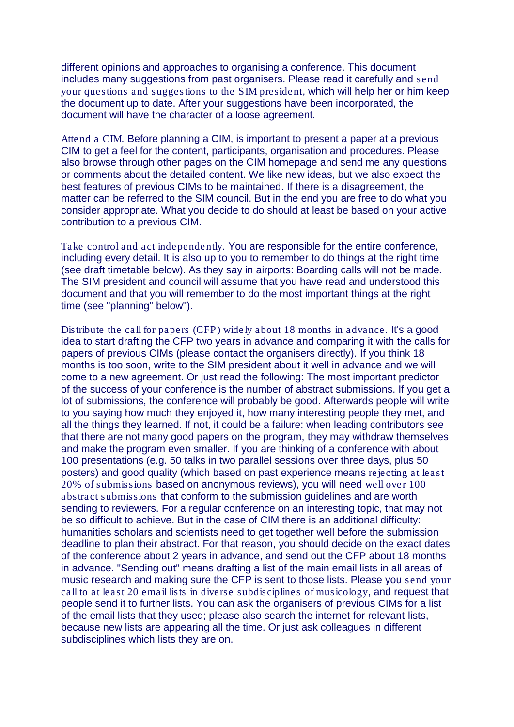different opinions and approaches to organising a conference. This document includes many suggestions from past organisers. Please read it carefully and *send your questions and suggestions to the SIM president*, which will help her or him keep the document up to date. After your suggestions have been incorporated, the document will have the character of a loose agreement.

*Attend a CIM.* Before planning a CIM, is important to present a paper at a previous CIM to get a feel for the content, participants, organisation and procedures. Please also browse through other pages on the CIM homepage and send me any questions or comments about the detailed content. We like new ideas, but we also expect the best features of previous CIMs to be maintained. If there is a disagreement, the matter can be referred to the SIM council. But in the end you are free to do what you consider appropriate. What you decide to do should at least be based on your active contribution to a previous CIM.

*Take control and act independently.* You are responsible for the entire conference, including every detail. It is also up to you to remember to do things at the right time (see draft timetable below). As they say in airports: Boarding calls will not be made. The SIM president and council will assume that you have read and understood this document and that you will remember to do the most important things at the right time (see "planning" below").

*Distribute the call for papers (CFP) widely about 18 months in advance.* It's a good idea to start drafting the CFP two years in advance and comparing it with the calls for papers of previous CIMs (please contact the organisers directly). If you think 18 months is too soon, write to the SIM president about it well in advance and we will come to a new agreement. Or just read the following: The most important predictor of the success of your conference is the number of abstract submissions. If you get a lot of submissions, the conference will probably be good. Afterwards people will write to you saying how much they enjoyed it, how many interesting people they met, and all the things they learned. If not, it could be a failure: when leading contributors see that there are not many good papers on the program, they may withdraw themselves and make the program even smaller. If you are thinking of a conference with about 100 presentations (e.g. 50 talks in two parallel sessions over three days, plus 50 posters) and good quality (which based on past experience means *rejecting at least 20% of submissions* based on anonymous reviews), you will need *well over 100 abstract submissions* that conform to the submission guidelines and are worth sending to reviewers. For a regular conference on an interesting topic, that may not be so difficult to achieve. But in the case of CIM there is an additional difficulty: humanities scholars and scientists need to get together well before the submission deadline to plan their abstract. For that reason, you should decide on the exact dates of the conference about 2 years in advance, and send out the CFP about 18 months in advance. "Sending out" means drafting a list of the main email lists in all areas of music research and making sure the CFP is sent to those lists. Please you *send your call to at least 20 email lists in diverse subdisciplines of musicology*, and request that people send it to further lists. You can ask the organisers of previous CIMs for a list of the email lists that they used; please also search the internet for relevant lists, because new lists are appearing all the time. Or just ask colleagues in different subdisciplines which lists they are on.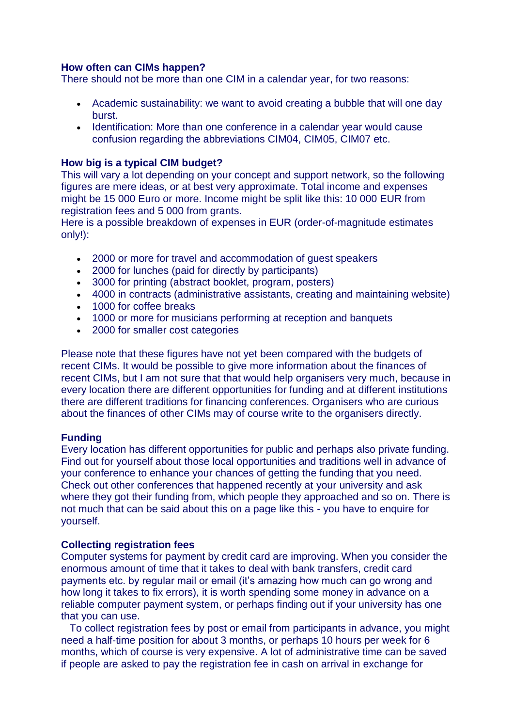## **How often can CIMs happen?**

There should not be more than one CIM in a calendar year, for two reasons:

- Academic sustainability: we want to avoid creating a bubble that will one day burst.
- Identification: More than one conference in a calendar year would cause confusion regarding the abbreviations CIM04, CIM05, CIM07 etc.

## **How big is a typical CIM budget?**

This will vary a lot depending on your concept and support network, so the following figures are mere ideas, or at best very approximate. Total income and expenses might be 15 000 Euro or more. Income might be split like this: 10 000 EUR from registration fees and 5 000 from grants.

Here is a possible breakdown of expenses in EUR (order-of-magnitude estimates only!):

- 2000 or more for travel and accommodation of guest speakers
- 2000 for lunches (paid for directly by participants)
- 3000 for printing (abstract booklet, program, posters)
- 4000 in contracts (administrative assistants, creating and maintaining website)
- 1000 for coffee breaks
- 1000 or more for musicians performing at reception and banquets
- 2000 for smaller cost categories

Please note that these figures have not yet been compared with the budgets of recent CIMs. It would be possible to give more information about the finances of recent CIMs, but I am not sure that that would help organisers very much, because in every location there are different opportunities for funding and at different institutions there are different traditions for financing conferences. Organisers who are curious about the finances of other CIMs may of course write to the organisers directly.

### **Funding**

Every location has different opportunities for public and perhaps also private funding. Find out for yourself about those local opportunities and traditions well in advance of your conference to enhance your chances of getting the funding that you need. Check out other conferences that happened recently at your university and ask where they got their funding from, which people they approached and so on. There is not much that can be said about this on a page like this - you have to enquire for yourself.

### **Collecting registration fees**

Computer systems for payment by credit card are improving. When you consider the enormous amount of time that it takes to deal with bank transfers, credit card payments etc. by regular mail or email (it's amazing how much can go wrong and how long it takes to fix errors), it is worth spending some money in advance on a reliable computer payment system, or perhaps finding out if your university has one that you can use.

 To collect registration fees by post or email from participants in advance, you might need a half-time position for about 3 months, or perhaps 10 hours per week for 6 months, which of course is very expensive. A lot of administrative time can be saved if people are asked to pay the registration fee in cash on arrival in exchange for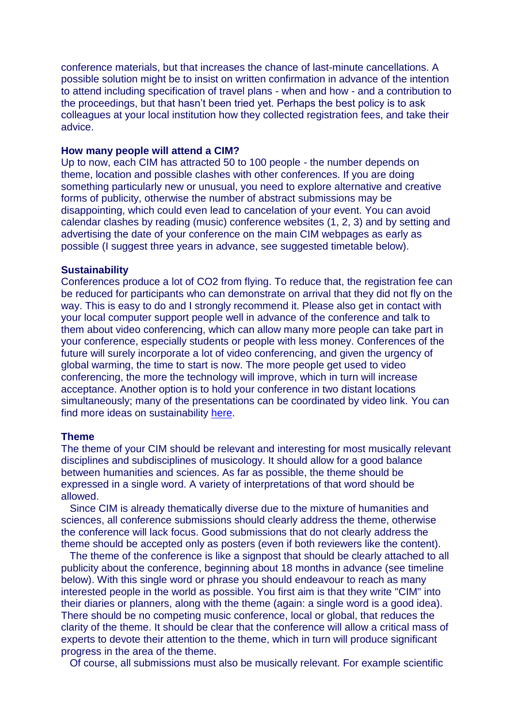conference materials, but that increases the chance of last-minute cancellations. A possible solution might be to insist on written confirmation in advance of the intention to attend including specification of travel plans - when and how - and a contribution to the proceedings, but that hasn't been tried yet. Perhaps the best policy is to ask colleagues at your local institution how they collected registration fees, and take their advice.

### **How many people will attend a CIM?**

Up to now, each CIM has attracted 50 to 100 people - the number depends on theme, location and possible clashes with other conferences. If you are doing something particularly new or unusual, you need to explore alternative and creative forms of publicity, otherwise the number of abstract submissions may be disappointing, which could even lead to cancelation of your event. You can avoid calendar clashes by reading (music) conference websites (1, 2, 3) and by setting and advertising the date of your conference on the main CIM webpages as early as possible (I suggest three years in advance, see suggested timetable below).

### **Sustainability**

Conferences produce a lot of CO2 from flying. To reduce that, the registration fee can be reduced for participants who can demonstrate on arrival that they did not fly on the way. This is easy to do and I strongly recommend it. Please also get in contact with your local computer support people well in advance of the conference and talk to them about video conferencing, which can allow many more people can take part in your conference, especially students or people with less money. Conferences of the future will surely incorporate a lot of video conferencing, and given the urgency of global warming, the time to start is now. The more people get used to video conferencing, the more the technology will improve, which in turn will increase acceptance. Another option is to hold your conference in two distant locations simultaneously; many of the presentations can be coordinated by video link. You can find more ideas on sustainability [here.](http://societymusictheory.org/administration/sustainability)

#### **Theme**

The theme of your CIM should be relevant and interesting for most musically relevant disciplines and subdisciplines of musicology. It should allow for a good balance between humanities and sciences. As far as possible, the theme should be expressed in a single word. A variety of interpretations of that word should be allowed.

 Since CIM is already thematically diverse due to the mixture of humanities and sciences, all conference submissions should clearly address the theme, otherwise the conference will lack focus. Good submissions that do not clearly address the theme should be accepted only as posters (even if both reviewers like the content).

 The theme of the conference is like a signpost that should be clearly attached to all publicity about the conference, beginning about 18 months in advance (see timeline below). With this single word or phrase you should endeavour to reach as many interested people in the world as possible. You first aim is that they write "CIM" into their diaries or planners, along with the theme (again: a single word is a good idea). There should be no competing music conference, local or global, that reduces the clarity of the theme. It should be clear that the conference will allow a critical mass of experts to devote their attention to the theme, which in turn will produce significant progress in the area of the theme.

Of course, all submissions must also be musically relevant. For example scientific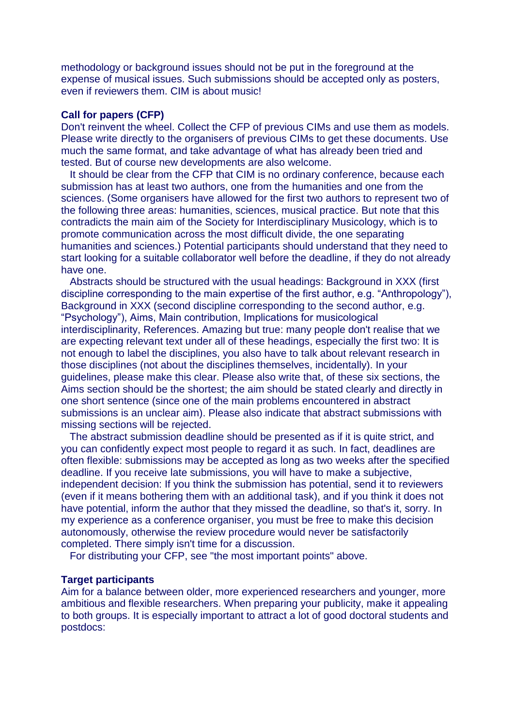methodology or background issues should not be put in the foreground at the expense of musical issues. Such submissions should be accepted only as posters, even if reviewers them. CIM is about music!

#### **Call for papers (CFP)**

Don't reinvent the wheel. Collect the CFP of previous CIMs and use them as models. Please write directly to the organisers of previous CIMs to get these documents. Use much the same format, and take advantage of what has already been tried and tested. But of course new developments are also welcome.

 It should be clear from the CFP that CIM is no ordinary conference, because each submission has at least two authors, one from the humanities and one from the sciences. (Some organisers have allowed for the first two authors to represent two of the following three areas: humanities, sciences, musical practice. But note that this contradicts the main aim of the Society for Interdisciplinary Musicology, which is to promote communication across the most difficult divide, the one separating humanities and sciences.) Potential participants should understand that they need to start looking for a suitable collaborator well before the deadline, if they do not already have one.

 Abstracts should be structured with the usual headings: Background in XXX (first discipline corresponding to the main expertise of the first author, e.g. "Anthropology"), Background in XXX (second discipline corresponding to the second author, e.g. "Psychology"), Aims, Main contribution, Implications for musicological interdisciplinarity, References. Amazing but true: many people don't realise that we are expecting relevant text under all of these headings, especially the first two: It is not enough to label the disciplines, you also have to talk about relevant research in those disciplines (not about the disciplines themselves, incidentally). In your guidelines, please make this clear. Please also write that, of these six sections, the Aims section should be the shortest; the aim should be stated clearly and directly in one short sentence (since one of the main problems encountered in abstract submissions is an unclear aim). Please also indicate that abstract submissions with missing sections will be rejected.

 The abstract submission deadline should be presented as if it is quite strict, and you can confidently expect most people to regard it as such. In fact, deadlines are often flexible: submissions may be accepted as long as two weeks after the specified deadline. If you receive late submissions, you will have to make a subjective, independent decision: If you think the submission has potential, send it to reviewers (even if it means bothering them with an additional task), and if you think it does not have potential, inform the author that they missed the deadline, so that's it, sorry. In my experience as a conference organiser, you must be free to make this decision autonomously, otherwise the review procedure would never be satisfactorily completed. There simply isn't time for a discussion.

For distributing your CFP, see "the most important points" above.

### **Target participants**

Aim for a balance between older, more experienced researchers and younger, more ambitious and flexible researchers. When preparing your publicity, make it appealing to both groups. It is especially important to attract a lot of good doctoral students and postdocs: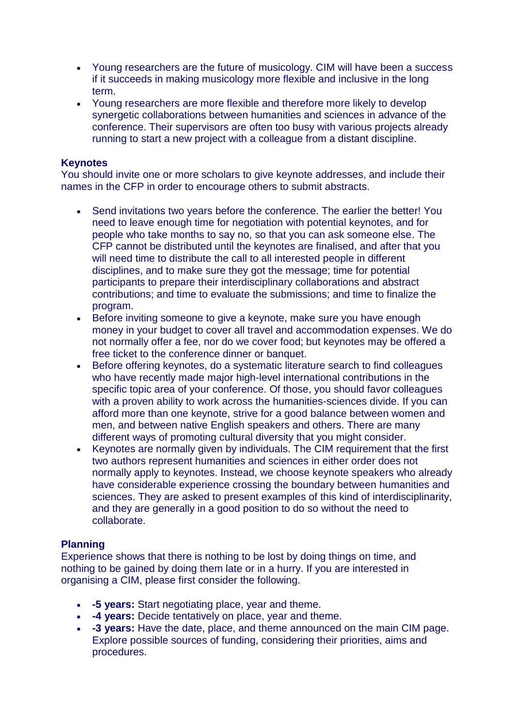- Young researchers are the future of musicology. CIM will have been a success if it succeeds in making musicology more flexible and inclusive in the long term.
- Young researchers are more flexible and therefore more likely to develop synergetic collaborations between humanities and sciences in advance of the conference. Their supervisors are often too busy with various projects already running to start a new project with a colleague from a distant discipline.

## **Keynotes**

You should invite one or more scholars to give keynote addresses, and include their names in the CFP in order to encourage others to submit abstracts.

- Send invitations two years before the conference. The earlier the better! You need to leave enough time for negotiation with potential keynotes, and for people who take months to say no, so that you can ask someone else. The CFP cannot be distributed until the keynotes are finalised, and after that you will need time to distribute the call to all interested people in different disciplines, and to make sure they got the message; time for potential participants to prepare their interdisciplinary collaborations and abstract contributions; and time to evaluate the submissions; and time to finalize the program.
- Before inviting someone to give a keynote, make sure you have enough money in your budget to cover all travel and accommodation expenses. We do not normally offer a fee, nor do we cover food; but keynotes may be offered a free ticket to the conference dinner or banquet.
- Before offering keynotes, do a systematic literature search to find colleagues who have recently made major high-level international contributions in the specific topic area of your conference. Of those, you should favor colleagues with a proven ability to work across the humanities-sciences divide. If you can afford more than one keynote, strive for a good balance between women and men, and between native English speakers and others. There are many different ways of promoting cultural diversity that you might consider.
- Keynotes are normally given by individuals. The CIM requirement that the first two authors represent humanities and sciences in either order does not normally apply to keynotes. Instead, we choose keynote speakers who already have considerable experience crossing the boundary between humanities and sciences. They are asked to present examples of this kind of interdisciplinarity, and they are generally in a good position to do so without the need to collaborate.

## **Planning**

Experience shows that there is nothing to be lost by doing things on time, and nothing to be gained by doing them late or in a hurry. If you are interested in organising a CIM, please first consider the following.

- **-5 years:** Start negotiating place, year and theme.
- **-4 years:** Decide tentatively on place, year and theme.
- **-3 years:** Have the date, place, and theme announced on the main CIM page. Explore possible sources of funding, considering their priorities, aims and procedures.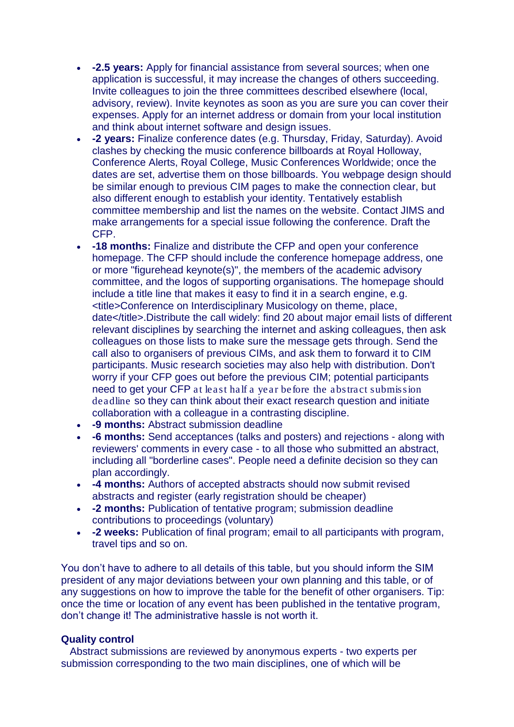- **-2.5 years:** Apply for financial assistance from several sources; when one application is successful, it may increase the changes of others succeeding. Invite colleagues to join the three committees described elsewhere (local, advisory, review). Invite keynotes as soon as you are sure you can cover their expenses. Apply for an internet address or domain from your local institution and think about internet software and design issues.
- **-2 years:** Finalize conference dates (e.g. Thursday, Friday, Saturday). Avoid clashes by checking the music conference billboards at Royal Holloway, Conference Alerts, Royal College, Music Conferences Worldwide; once the dates are set, advertise them on those billboards. You webpage design should be similar enough to previous CIM pages to make the connection clear, but also different enough to establish your identity. Tentatively establish committee membership and list the names on the website. Contact JIMS and make arrangements for a special issue following the conference. Draft the CFP.
- **-18 months:** Finalize and distribute the CFP and open your conference homepage. The CFP should include the conference homepage address, one or more "figurehead keynote(s)", the members of the academic advisory committee, and the logos of supporting organisations. The homepage should include a title line that makes it easy to find it in a search engine, e.g. <title>Conference on Interdisciplinary Musicology on theme, place, date</title>.Distribute the call widely: find 20 about major email lists of different relevant disciplines by searching the internet and asking colleagues, then ask colleagues on those lists to make sure the message gets through. Send the call also to organisers of previous CIMs, and ask them to forward it to CIM participants. Music research societies may also help with distribution. Don't worry if your CFP goes out before the previous CIM; potential participants need to get your CFP *at least half a year before the abstract submission deadline* so they can think about their exact research question and initiate collaboration with a colleague in a contrasting discipline.
- **-9 months:** Abstract submission deadline
- **-6 months:** Send acceptances (talks and posters) and rejections along with reviewers' comments in every case - to all those who submitted an abstract, including all "borderline cases". People need a definite decision so they can plan accordingly.
- **-4 months:** Authors of accepted abstracts should now submit revised abstracts and register (early registration should be cheaper)
- **-2 months:** Publication of tentative program; submission deadline contributions to proceedings (voluntary)
- **-2 weeks:** Publication of final program; email to all participants with program, travel tips and so on.

You don't have to adhere to all details of this table, but you should inform the SIM president of any major deviations between your own planning and this table, or of any suggestions on how to improve the table for the benefit of other organisers. Tip: once the time or location of any event has been published in the tentative program, don't change it! The administrative hassle is not worth it.

### **Quality control**

 Abstract submissions are reviewed by anonymous experts - two experts per submission corresponding to the two main disciplines, one of which will be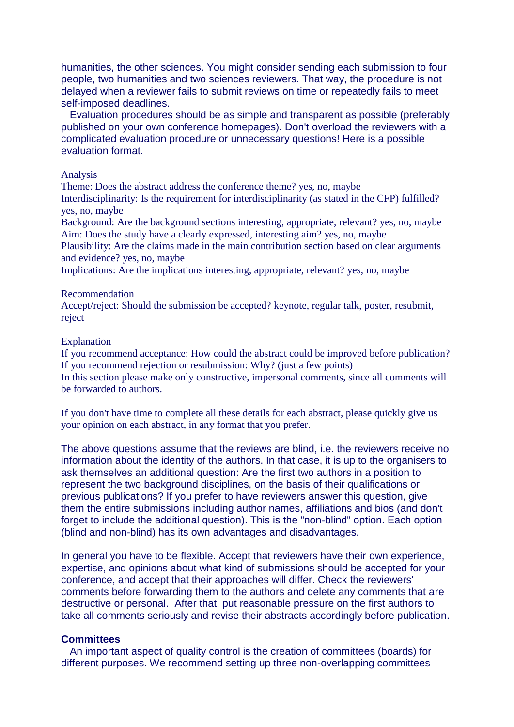humanities, the other sciences. You might consider sending each submission to four people, two humanities and two sciences reviewers. That way, the procedure is not delayed when a reviewer fails to submit reviews on time or repeatedly fails to meet self-imposed deadlines.

 Evaluation procedures should be as simple and transparent as possible (preferably published on your own conference homepages). Don't overload the reviewers with a complicated evaluation procedure or unnecessary questions! Here is a possible evaluation format.

#### Analysis

Theme: Does the abstract address the conference theme? yes, no, maybe

Interdisciplinarity: Is the requirement for interdisciplinarity (as stated in the CFP) fulfilled? yes, no, maybe

Background: Are the background sections interesting, appropriate, relevant? yes, no, maybe Aim: Does the study have a clearly expressed, interesting aim? yes, no, maybe

Plausibility: Are the claims made in the main contribution section based on clear arguments and evidence? yes, no, maybe

Implications: Are the implications interesting, appropriate, relevant? yes, no, maybe

#### Recommendation

Accept/reject: Should the submission be accepted? keynote, regular talk, poster, resubmit, reject

#### Explanation

If you recommend acceptance: How could the abstract could be improved before publication? If you recommend rejection or resubmission: Why? (just a few points) In this section please make only constructive, impersonal comments, since all comments will be forwarded to authors.

If you don't have time to complete all these details for each abstract, please quickly give us your opinion on each abstract, in any format that you prefer.

The above questions assume that the reviews are blind, i.e. the reviewers receive no information about the identity of the authors. In that case, it is up to the organisers to ask themselves an additional question: Are the first two authors in a position to represent the two background disciplines, on the basis of their qualifications or previous publications? If you prefer to have reviewers answer this question, give them the entire submissions including author names, affiliations and bios (and don't forget to include the additional question). This is the "non-blind" option. Each option (blind and non-blind) has its own advantages and disadvantages.

In general you have to be flexible. Accept that reviewers have their own experience, expertise, and opinions about what kind of submissions should be accepted for your conference, and accept that their approaches will differ. Check the reviewers' comments before forwarding them to the authors and delete any comments that are destructive or personal. After that, put reasonable pressure on the first authors to take all comments seriously and revise their abstracts accordingly before publication.

#### **Committees**

 An important aspect of quality control is the creation of committees (boards) for different purposes. We recommend setting up three non-overlapping committees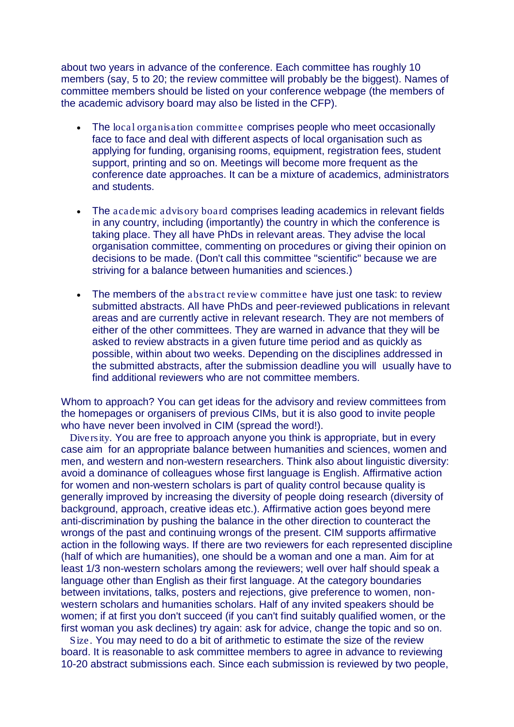about two years in advance of the conference. Each committee has roughly 10 members (say, 5 to 20; the review committee will probably be the biggest). Names of committee members should be listed on your conference webpage (the members of the academic advisory board may also be listed in the CFP).

- The *local organisation committee* comprises people who meet occasionally face to face and deal with different aspects of local organisation such as applying for funding, organising rooms, equipment, registration fees, student support, printing and so on. Meetings will become more frequent as the conference date approaches. It can be a mixture of academics, administrators and students.
- The *academic advisory board* comprises leading academics in relevant fields in any country, including (importantly) the country in which the conference is taking place. They all have PhDs in relevant areas. They advise the local organisation committee, commenting on procedures or giving their opinion on decisions to be made. (Don't call this committee "scientific" because we are striving for a balance between humanities and sciences.)
- The members of the *abstract review committee* have just one task: to review submitted abstracts. All have PhDs and peer-reviewed publications in relevant areas and are currently active in relevant research. They are not members of either of the other committees. They are warned in advance that they will be asked to review abstracts in a given future time period and as quickly as possible, within about two weeks. Depending on the disciplines addressed in the submitted abstracts, after the submission deadline you will usually have to find additional reviewers who are not committee members.

Whom to approach? You can get ideas for the advisory and review committees from the homepages or organisers of previous CIMs, but it is also good to invite people who have never been involved in CIM (spread the word!).

 *Diversity.* You are free to approach anyone you think is appropriate, but in every case aim for an appropriate balance between humanities and sciences, women and men, and western and non-western researchers. Think also about linguistic diversity: avoid a dominance of colleagues whose first language is English. Affirmative action for women and non-western scholars is part of quality control because quality is generally improved by increasing the diversity of people doing research (diversity of background, approach, creative ideas etc.). Affirmative action goes beyond mere anti-discrimination by pushing the balance in the other direction to counteract the wrongs of the past and continuing wrongs of the present. CIM supports affirmative action in the following ways. If there are two reviewers for each represented discipline (half of which are humanities), one should be a woman and one a man. Aim for at least 1/3 non-western scholars among the reviewers; well over half should speak a language other than English as their first language. At the category boundaries between invitations, talks, posters and rejections, give preference to women, nonwestern scholars and humanities scholars. Half of any invited speakers should be women; if at first you don't succeed (if you can't find suitably qualified women, or the first woman you ask declines) try again: ask for advice, change the topic and so on.

 *Size.* You may need to do a bit of arithmetic to estimate the size of the review board. It is reasonable to ask committee members to agree in advance to reviewing 10-20 abstract submissions each. Since each submission is reviewed by two people,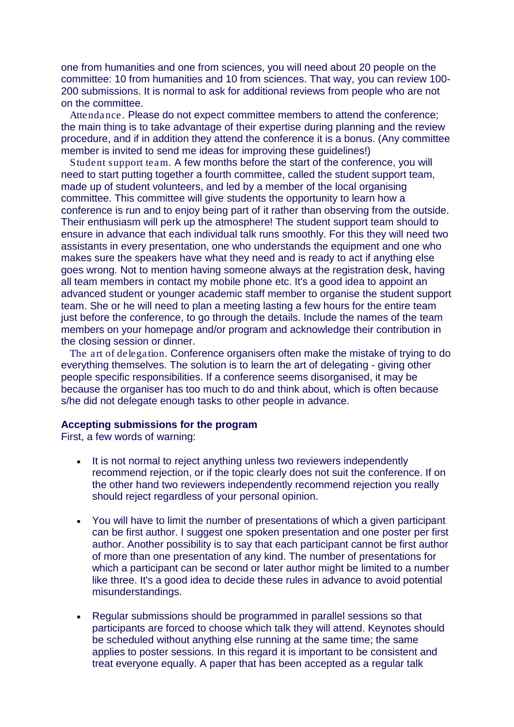one from humanities and one from sciences, you will need about 20 people on the committee: 10 from humanities and 10 from sciences. That way, you can review 100- 200 submissions. It is normal to ask for additional reviews from people who are not on the committee.

 *Attendance.* Please do not expect committee members to attend the conference; the main thing is to take advantage of their expertise during planning and the review procedure, and if in addition they attend the conference it is a bonus. (Any committee member is invited to send me ideas for improving these guidelines!)

 *Student support team.* A few months before the start of the conference, you will need to start putting together a fourth committee, called the student support team, made up of student volunteers, and led by a member of the local organising committee. This committee will give students the opportunity to learn how a conference is run and to enjoy being part of it rather than observing from the outside. Their enthusiasm will perk up the atmosphere! The student support team should to ensure in advance that each individual talk runs smoothly. For this they will need two assistants in every presentation, one who understands the equipment and one who makes sure the speakers have what they need and is ready to act if anything else goes wrong. Not to mention having someone always at the registration desk, having all team members in contact my mobile phone etc. It's a good idea to appoint an advanced student or younger academic staff member to organise the student support team. She or he will need to plan a meeting lasting a few hours for the entire team just before the conference, to go through the details. Include the names of the team members on your homepage and/or program and acknowledge their contribution in the closing session or dinner.

 *The art of delegation.* Conference organisers often make the mistake of trying to do everything themselves. The solution is to learn the art of delegating - giving other people specific responsibilities. If a conference seems disorganised, it may be because the organiser has too much to do and think about, which is often because s/he did not delegate enough tasks to other people in advance.

## **Accepting submissions for the program**

First, a few words of warning:

- It is not normal to reject anything unless two reviewers independently recommend rejection, or if the topic clearly does not suit the conference. If on the other hand two reviewers independently recommend rejection you really should reject regardless of your personal opinion.
- You will have to limit the number of presentations of which a given participant can be first author. I suggest one spoken presentation and one poster per first author. Another possibility is to say that each participant cannot be first author of more than one presentation of any kind. The number of presentations for which a participant can be second or later author might be limited to a number like three. It's a good idea to decide these rules in advance to avoid potential misunderstandings.
- Regular submissions should be programmed in parallel sessions so that participants are forced to choose which talk they will attend. Keynotes should be scheduled without anything else running at the same time; the same applies to poster sessions. In this regard it is important to be consistent and treat everyone equally. A paper that has been accepted as a regular talk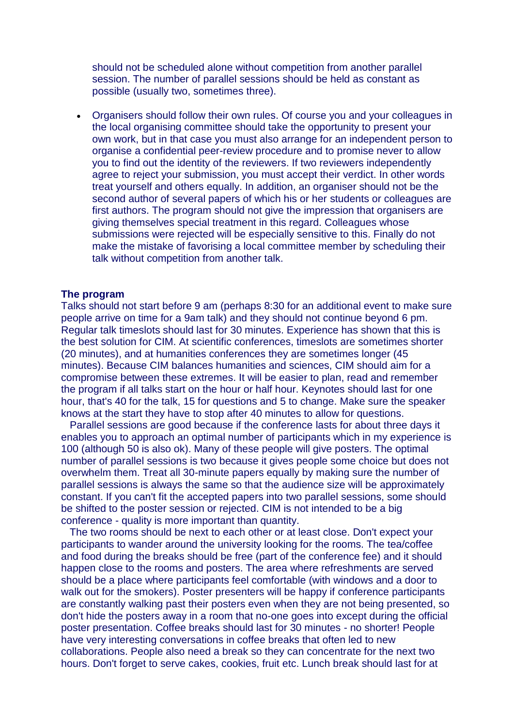should not be scheduled alone without competition from another parallel session. The number of parallel sessions should be held as constant as possible (usually two, sometimes three).

• Organisers should follow their own rules. Of course you and your colleagues in the local organising committee should take the opportunity to present your own work, but in that case you must also arrange for an independent person to organise a confidential peer-review procedure and to promise never to allow you to find out the identity of the reviewers. If two reviewers independently agree to reject your submission, you must accept their verdict. In other words treat yourself and others equally. In addition, an organiser should not be the second author of several papers of which his or her students or colleagues are first authors. The program should not give the impression that organisers are giving themselves special treatment in this regard. Colleagues whose submissions were rejected will be especially sensitive to this. Finally do not make the mistake of favorising a local committee member by scheduling their talk without competition from another talk.

#### **The program**

Talks should not start before 9 am (perhaps 8:30 for an additional event to make sure people arrive on time for a 9am talk) and they should not continue beyond 6 pm. Regular talk timeslots should last for 30 minutes. Experience has shown that this is the best solution for CIM. At scientific conferences, timeslots are sometimes shorter (20 minutes), and at humanities conferences they are sometimes longer (45 minutes). Because CIM balances humanities and sciences, CIM should aim for a compromise between these extremes. It will be easier to plan, read and remember the program if all talks start on the hour or half hour. Keynotes should last for one hour, that's 40 for the talk, 15 for questions and 5 to change. Make sure the speaker knows at the start they have to stop after 40 minutes to allow for questions.

 Parallel sessions are good because if the conference lasts for about three days it enables you to approach an optimal number of participants which in my experience is 100 (although 50 is also ok). Many of these people will give posters. The optimal number of parallel sessions is two because it gives people some choice but does not overwhelm them. Treat all 30-minute papers equally by making sure the number of parallel sessions is always the same so that the audience size will be approximately constant. If you can't fit the accepted papers into two parallel sessions, some should be shifted to the poster session or rejected. CIM is not intended to be a big conference - quality is more important than quantity.

 The two rooms should be next to each other or at least close. Don't expect your participants to wander around the university looking for the rooms. The tea/coffee and food during the breaks should be free (part of the conference fee) and it should happen close to the rooms and posters. The area where refreshments are served should be a place where participants feel comfortable (with windows and a door to walk out for the smokers). Poster presenters will be happy if conference participants are constantly walking past their posters even when they are not being presented, so don't hide the posters away in a room that no-one goes into except during the official poster presentation. Coffee breaks should last for 30 minutes - no shorter! People have very interesting conversations in coffee breaks that often led to new collaborations. People also need a break so they can concentrate for the next two hours. Don't forget to serve cakes, cookies, fruit etc. Lunch break should last for at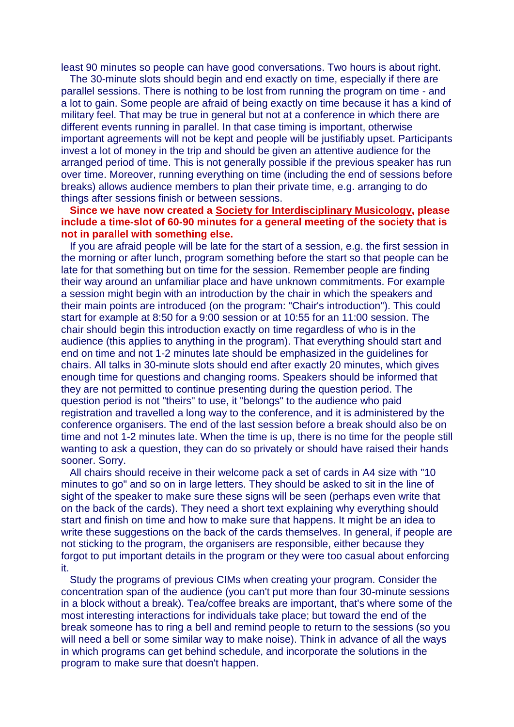least 90 minutes so people can have good conversations. Two hours is about right.

 The 30-minute slots should begin and end exactly on time, especially if there are parallel sessions. There is nothing to be lost from running the program on time - and a lot to gain. Some people are afraid of being exactly on time because it has a kind of military feel. That may be true in general but not at a conference in which there are different events running in parallel. In that case timing is important, otherwise important agreements will not be kept and people will be justifiably upset. Participants invest a lot of money in the trip and should be given an attentive audience for the arranged period of time. This is not generally possible if the previous speaker has run over time. Moreover, running everything on time (including the end of sessions before breaks) allows audience members to plan their private time, e.g. arranging to do things after sessions finish or between sessions.

## **Since we have now created a [Society for Interdisciplinary Musicology,](http://www.uni-graz.at/en/muwi99ww/sim.htm) please include a time-slot of 60-90 minutes for a general meeting of the society that is not in parallel with something else.**

 If you are afraid people will be late for the start of a session, e.g. the first session in the morning or after lunch, program something before the start so that people can be late for that something but on time for the session. Remember people are finding their way around an unfamiliar place and have unknown commitments. For example a session might begin with an introduction by the chair in which the speakers and their main points are introduced (on the program: "Chair's introduction"). This could start for example at 8:50 for a 9:00 session or at 10:55 for an 11:00 session. The chair should begin this introduction exactly on time regardless of who is in the audience (this applies to anything in the program). That everything should start and end on time and not 1-2 minutes late should be emphasized in the guidelines for chairs. All talks in 30-minute slots should end after exactly 20 minutes, which gives enough time for questions and changing rooms. Speakers should be informed that they are not permitted to continue presenting during the question period. The question period is not "theirs" to use, it "belongs" to the audience who paid registration and travelled a long way to the conference, and it is administered by the conference organisers. The end of the last session before a break should also be on time and not 1-2 minutes late. When the time is up, there is no time for the people still wanting to ask a question, they can do so privately or should have raised their hands sooner. Sorry.

 All chairs should receive in their welcome pack a set of cards in A4 size with "10 minutes to go" and so on in large letters. They should be asked to sit in the line of sight of the speaker to make sure these signs will be seen (perhaps even write that on the back of the cards). They need a short text explaining why everything should start and finish on time and how to make sure that happens. It might be an idea to write these suggestions on the back of the cards themselves. In general, if people are not sticking to the program, the organisers are responsible, either because they forgot to put important details in the program or they were too casual about enforcing it.

 Study the programs of previous CIMs when creating your program. Consider the concentration span of the audience (you can't put more than four 30-minute sessions in a block without a break). Tea/coffee breaks are important, that's where some of the most interesting interactions for individuals take place; but toward the end of the break someone has to ring a bell and remind people to return to the sessions (so you will need a bell or some similar way to make noise). Think in advance of all the ways in which programs can get behind schedule, and incorporate the solutions in the program to make sure that doesn't happen.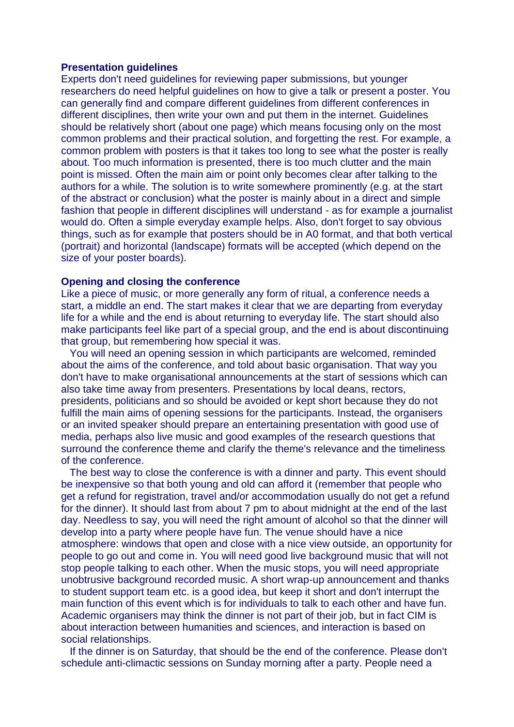## **Presentation guidelines**

Experts don't need guidelines for reviewing paper submissions, but younger researchers do need helpful guidelines on how to give a talk or present a poster. You can generally find and compare different guidelines from different conferences in different disciplines, then write your own and put them in the internet. Guidelines should be relatively short (about one page) which means focusing only on the most common problems and their practical solution, and forgetting the rest. For example, a common problem with posters is that it takes too long to see what the poster is really about. Too much information is presented, there is too much clutter and the main point is missed. Often the main aim or point only becomes clear after talking to the authors for a while. The solution is to write somewhere prominently (e.g. at the start of the abstract or conclusion) what the poster is mainly about in a direct and simple fashion that people in different disciplines will understand - as for example a journalist would do. Often a simple everyday example helps. Also, don't forget to say obvious things, such as for example that posters should be in A0 format, and that both vertical (portrait) and horizontal (landscape) formats will be accepted (which depend on the size of your poster boards).

### **Opening and closing the conference**

Like a piece of music, or more generally any form of ritual, a conference needs a start, a middle an end. The start makes it clear that we are departing from everyday life for a while and the end is about returning to everyday life. The start should also make participants feel like part of a special group, and the end is about discontinuing that group, but remembering how special it was.

 You will need an opening session in which participants are welcomed, reminded about the aims of the conference, and told about basic organisation. That way you don't have to make organisational announcements at the start of sessions which can also take time away from presenters. Presentations by local deans, rectors, presidents, politicians and so should be avoided or kept short because they do not fulfill the main aims of opening sessions for the participants. Instead, the organisers or an invited speaker should prepare an entertaining presentation with good use of media, perhaps also live music and good examples of the research questions that surround the conference theme and clarify the theme's relevance and the timeliness of the conference.

 The best way to close the conference is with a dinner and party. This event should be inexpensive so that both young and old can afford it (remember that people who get a refund for registration, travel and/or accommodation usually do not get a refund for the dinner). It should last from about 7 pm to about midnight at the end of the last day. Needless to say, you will need the right amount of alcohol so that the dinner will develop into a party where people have fun. The venue should have a nice atmosphere: windows that open and close with a nice view outside, an opportunity for people to go out and come in. You will need good live background music that will not stop people talking to each other. When the music stops, you will need appropriate unobtrusive background recorded music. A short wrap-up announcement and thanks to student support team etc. is a good idea, but keep it short and don't interrupt the main function of this event which is for individuals to talk to each other and have fun. Academic organisers may think the dinner is not part of their job, but in fact CIM is about interaction between humanities and sciences, and interaction is based on social relationships.

 If the dinner is on Saturday, that should be the end of the conference. Please don't schedule anti-climactic sessions on Sunday morning after a party. People need a